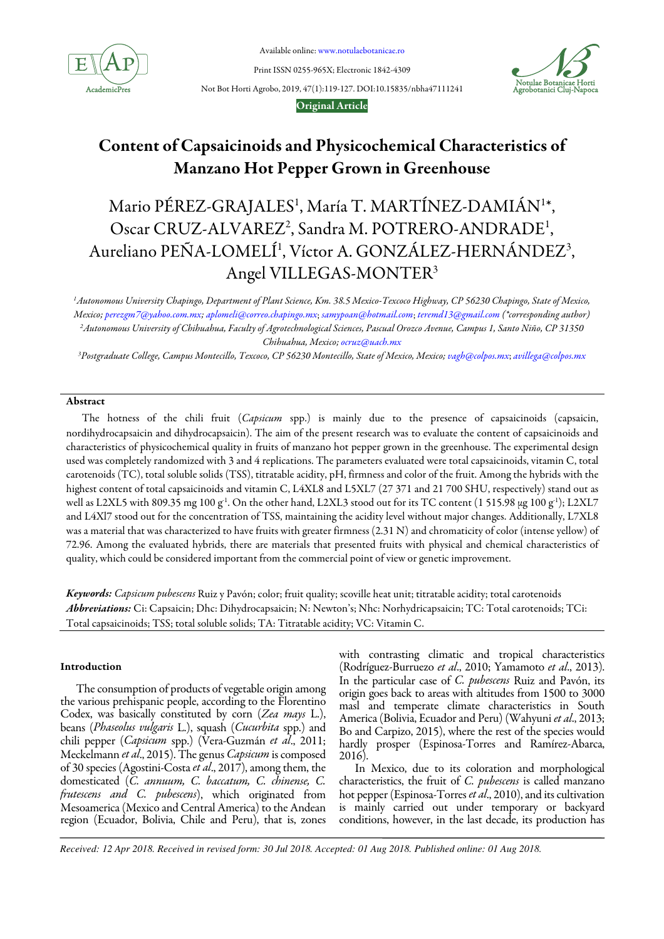

Available online: www.notulaebotanicae.ro

Print ISSN 0255-965X; Electronic 1842-4309

Not Bot Horti Agrobo, 2019, 47(1):119-127. DOI:10.15835/nbha47111241



# Original Article

# Content of Capsaicinoids and Physicochemical Characteristics of Manzano Hot Pepper Grown in Greenhouse

# Mario PÉREZ-GRAJALES<sup>1</sup>, María T. MARTÍNEZ-DAMIÁN<sup>1</sup>\*, Oscar CRUZ-ALVAREZ<sup>2</sup>, Sandra M. POTRERO-ANDRADE<sup>1</sup>, Aureliano PEÑA-LOMELÍ<sup>1</sup>, Víctor A. GONZÁLEZ-HERNÁNDEZ<sup>3</sup>, Angel VILLEGAS-MONTER<sup>3</sup>

 $^1$ Autonomous University Chapingo, Department of Plant Science, Km. 38.5 Mexico-Texcoco Highway, CP 56230 Chapingo, State of Mexico, Mexico; perezgm7@yahoo.com.mx; aplomeli@correo.chapingo.mx; samypoan@hotmail.com; teremd13@gmail.com (\*corresponding author) <sup>2</sup>Autonomous University of Chihuahua, Faculty of Agrotechnological Sciences, Pascual Orozco Avenue, Campus 1, Santo Niño, CP 31350 Chihuahua, Mexico; ocruz@uach.mx

<sup>3</sup>Postgraduate College, Campus Montecillo, Texcoco, CP 56230 Montecillo, State of Mexico, Mexico; vagh@colpos.mx; avillega@colpos.mx

# Abstract

The hotness of the chili fruit (Capsicum spp.) is mainly due to the presence of capsaicinoids (capsaicin, nordihydrocapsaicin and dihydrocapsaicin). The aim of the present research was to evaluate the content of capsaicinoids and characteristics of physicochemical quality in fruits of manzano hot pepper grown in the greenhouse. The experimental design used was completely randomized with 3 and 4 replications. The parameters evaluated were total capsaicinoids, vitamin C, total carotenoids (TC), total soluble solids (TSS), titratable acidity, pH, firmness and color of the fruit. Among the hybrids with the highest content of total capsaicinoids and vitamin C, L4XL8 and L5XL7 (27 371 and 21 700 SHU, respectively) stand out as well as L2XL5 with 809.35 mg 100 g<sup>-1</sup>. On the other hand, L2XL3 stood out for its TC content (1 515.98 μg 100 g<sup>-1</sup>); L2XL7 and L4Xl7 stood out for the concentration of TSS, maintaining the acidity level without major changes. Additionally, L7XL8 was a material that was characterized to have fruits with greater firmness (2.31 N) and chromaticity of color (intense yellow) of 72.96. Among the evaluated hybrids, there are materials that presented fruits with physical and chemical characteristics of quality, which could be considered important from the commercial point of view or genetic improvement.

Keywords: Capsicum pubescens Ruiz y Pavón; color; fruit quality; scoville heat unit; titratable acidity; total carotenoids Abbreviations: Ci: Capsaicin; Dhc: Dihydrocapsaicin; N: Newton's; Nhc: Norhydricapsaicin; TC: Total carotenoids; TCi: Total capsaicinoids; TSS; total soluble solids; TA: Titratable acidity; VC: Vitamin C.

# Introduction

The consumption of products of vegetable origin among the various prehispanic people, according to the Florentino Codex, was basically constituted by corn (Zea mays L.), beans (Phaseolus vulgaris L.), squash (Cucurbita spp.) and chili pepper (Capsicum spp.) (Vera-Guzmán et al., 2011; Meckelmann et al., 2015). The genus Capsicum is composed of 30 species (Agostini-Costa et al., 2017), among them, the domesticated (C. annuum, C. baccatum, C. chinense, C. frutescens and C. pubescens), which originated from Mesoamerica (Mexico and Central America) to the Andean region (Ecuador, Bolivia, Chile and Peru), that is, zones with contrasting climatic and tropical characteristics (Rodríguez-Burruezo et al., 2010; Yamamoto et al., 2013). In the particular case of C. pubescens Ruiz and Pavón, its origin goes back to areas with altitudes from 1500 to 3000 masl and temperate climate characteristics in South America (Bolivia, Ecuador and Peru) (Wahyuni et al., 2013; Bo and Carpizo, 2015), where the rest of the species would hardly prosper (Espinosa-Torres and Ramírez-Abarca, 2016).

In Mexico, due to its coloration and morphological characteristics, the fruit of  $C$ . pubescens is called manzano hot pepper (Espinosa-Torres et al., 2010), and its cultivation is mainly carried out under temporary or backyard conditions, however, in the last decade, its production has

*Received: 12 Apr 2018. Received in revised form: 30 Jul 2018. Accepted: 01 Aug 2018. Published online: 01 Aug 2018.*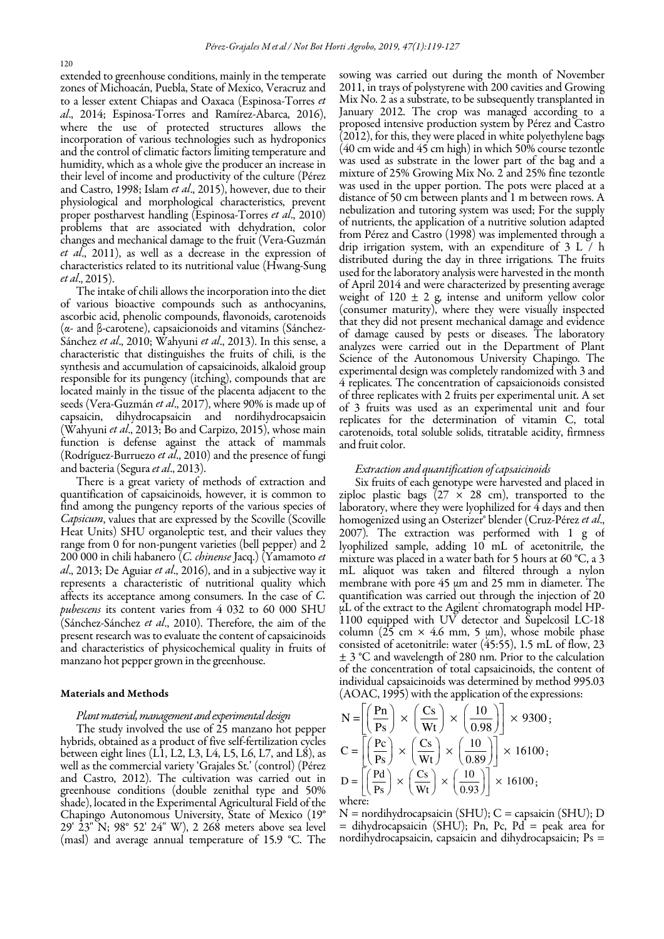extended to greenhouse conditions, mainly in the temperate zones of Michoacán, Puebla, State of Mexico, Veracruz and to a lesser extent Chiapas and Oaxaca (Espinosa-Torres et al., 2014; Espinosa-Torres and Ramírez-Abarca, 2016), where the use of protected structures allows the incorporation of various technologies such as hydroponics and the control of climatic factors limiting temperature and humidity, which as a whole give the producer an increase in their level of income and productivity of the culture (Pérez and Castro, 1998; Islam et al., 2015), however, due to their physiological and morphological characteristics, prevent proper postharvest handling (Espinosa-Torres et al., 2010) problems that are associated with dehydration, color changes and mechanical damage to the fruit (Vera-Guzmán et al., 2011), as well as a decrease in the expression of characteristics related to its nutritional value (Hwang-Sung et al., 2015).

The intake of chili allows the incorporation into the diet of various bioactive compounds such as anthocyanins, ascorbic acid, phenolic compounds, flavonoids, carotenoids (α- and β-carotene), capsaicionoids and vitamins (Sánchez-Sánchez et al., 2010; Wahyuni et al., 2013). In this sense, a characteristic that distinguishes the fruits of chili, is the synthesis and accumulation of capsaicinoids, alkaloid group responsible for its pungency (itching), compounds that are located mainly in the tissue of the placenta adjacent to the seeds (Vera-Guzmán et al., 2017), where 90% is made up of capsaicin, dihydrocapsaicin and nordihydrocapsaicin (Wahyuni et al., 2013; Bo and Carpizo, 2015), whose main function is defense against the attack of mammals (Rodríguez-Burruezo et al., 2010) and the presence of fungi and bacteria (Segura et al., 2013).

There is a great variety of methods of extraction and quantification of capsaicinoids, however, it is common to find among the pungency reports of the various species of Capsicum, values that are expressed by the Scoville (Scoville Heat Units) SHU organoleptic test, and their values they range from 0 for non-pungent varieties (bell pepper) and 2 200 000 in chili habanero  $(C.$  *chinense* Jacq.) (Yamamoto et  $al$ , 2013; De Aguiar et  $al$ , 2016), and in a subjective way it represents a characteristic of nutritional quality which affects its acceptance among consumers. In the case of C. pubescens its content varies from 4 032 to 60 000 SHU (Sánchez-Sánchez et al., 2010). Therefore, the aim of the present research was to evaluate the content of capsaicinoids and characteristics of physicochemical quality in fruits of manzano hot pepper grown in the greenhouse.

#### Materials and Methods

#### Plant material, management and experimental design

The study involved the use of 25 manzano hot pepper hybrids, obtained as a product of five self-fertilization cycles between eight lines  $(L<sub>1</sub>, L<sub>2</sub>, L<sub>3</sub>, L<sub>4</sub>, L<sub>5</sub>, L<sub>6</sub>, L<sub>7</sub>, and L<sub>8</sub>)$ , as well as the commercial variety 'Grajales St.' (control) (Pérez and Castro, 2012). The cultivation was carried out in greenhouse conditions (double zenithal type and 50% shade), located in the Experimental Agricultural Field of the Chapingo Autonomous University, State of Mexico (19° 29' 23" N; 98° 52' 24" W), 2 268 meters above sea level (masl) and average annual temperature of 15.9 °C. The sowing was carried out during the month of November 2011, in trays of polystyrene with 200 cavities and Growing Mix No. 2 as a substrate, to be subsequently transplanted in January 2012. The crop was managed according to a proposed intensive production system by Pérez and Castro (2012), for this, they were placed in white polyethylene bags (40 cm wide and 45 cm high) in which 50% course tezontle was used as substrate in the lower part of the bag and a mixture of 25% Growing Mix No. 2 and 25% fine tezontle was used in the upper portion. The pots were placed at a distance of 50 cm between plants and 1 m between rows. A nebulization and tutoring system was used; For the supply of nutrients, the application of a nutritive solution adapted from Pérez and Castro (1998) was implemented through a drip irrigation system, with an expenditure of 3 L / h distributed during the day in three irrigations. The fruits used for the laboratory analysis were harvested in the month of April 2014 and were characterized by presenting average weight of  $120 \pm 2$  g, intense and uniform yellow color (consumer maturity), where they were visually inspected that they did not present mechanical damage and evidence of damage caused by pests or diseases. The laboratory analyzes were carried out in the Department of Plant Science of the Autonomous University Chapingo. The experimental design was completely randomized with 3 and 4 replicates. The concentration of capsaicionoids consisted of three replicates with 2 fruits per experimental unit. A set of 3 fruits was used as an experimental unit and four replicates for the determination of vitamin C, total carotenoids, total soluble solids, titratable acidity, firmness and fruit color.

# Extraction and quantification of capsaicinoids

Six fruits of each genotype were harvested and placed in ziploc plastic bags  $(27 \times 28$  cm), transported to the laboratory, where they were lyophilized for  $4$  days and then homogenized using an Osterizer® blender (Cruz-Pérez et al., 2007). The extraction was performed with 1 g of lyophilized sample, adding 10 mL of acetonitrile, the mixture was placed in a water bath for 5 hours at 60 °C, a 3 mL aliquot was taken and filtered through a nylon membrane with pore 45 μm and 25 mm in diameter. The quantification was carried out through the injection of 20  $\mu$ L of the extract to the Agilent $\,$  chromatograph model HP-1100 equipped with UV detector and Supelcosil LC-18 column  $(25 \text{ cm} \times 4.6 \text{ mm}, 5 \text{ \mu m})$ , whose mobile phase consisted of acetonitrile: water (45:55), 1.5 mL of flow, 23 ± 3 °C and wavelength of 280 nm. Prior to the calculation of the concentration of total capsaicinoids, the content of individual capsaicinoids was determined by method 995.03 (AOAC, 1995) with the application of the expressions:

$$
N = \left[ \left( \frac{Pn}{Ps} \right) \times \left( \frac{Cs}{Wt} \right) \times \left( \frac{10}{0.98} \right) \right] \times 9300;
$$
  
\n
$$
C = \left[ \left( \frac{Pc}{Ps} \right) \times \left( \frac{Cs}{Wt} \right) \times \left( \frac{10}{0.89} \right) \right] \times 16100;
$$
  
\n
$$
D = \left[ \left( \frac{Pd}{Ps} \right) \times \left( \frac{Cs}{Wt} \right) \times \left( \frac{10}{0.93} \right) \right] \times 16100;
$$
  
\nwhere:

 $N =$  nordihydrocapsaicin (SHU);  $C =$  capsaicin (SHU); D  $=$  dihydrocapsaicin (SHU); Pn, Pc, Pd  $=$  peak area for nordihydrocapsaicin, capsaicin and dihydrocapsaicin; Ps =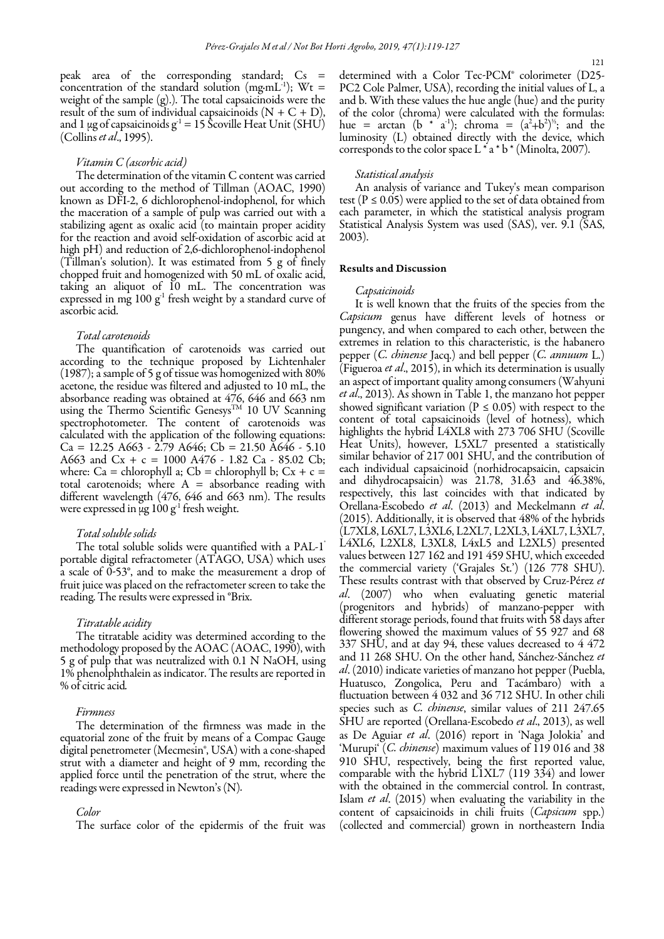peak area of the corresponding standard; Cs = concentration of the standard solution (mg∙mL-1); Wt = weight of the sample (g).). The total capsaicinoids were the result of the sum of individual capsaicinoids  $(N + C + D)$ , and 1  $\mu$ g of capsaicinoids g<sup>-1</sup> = 15 Scoville Heat Unit (SHU) (Collins et al., 1995).

#### Vitamin C (ascorbic acid)

The determination of the vitamin C content was carried out according to the method of Tillman (AOAC, 1990) known as DFI-2, 6 dichlorophenol-indophenol, for which the maceration of a sample of pulp was carried out with a stabilizing agent as oxalic acid (to maintain proper acidity for the reaction and avoid self-oxidation of ascorbic acid at high pH) and reduction of 2,6-dichlorophenol-indophenol (Tillman's solution). It was estimated from 5 g of finely chopped fruit and homogenized with 50 mL of oxalic acid, taking an aliquot of 10 mL. The concentration was expressed in mg  $100 \text{ g}^1$  fresh weight by a standard curve of ascorbic acid.

# Total carotenoids

The quantification of carotenoids was carried out according to the technique proposed by Lichtenhaler (1987); a sample of 5 g of tissue was homogenized with 80% acetone, the residue was filtered and adjusted to 10 mL, the absorbance reading was obtained at 476, 646 and 663 nm using the Thermo Scientific Genesys<sup>TM</sup> 10 UV Scanning spectrophotometer. The content of carotenoids was calculated with the application of the following equations:  $Ca = 12.25 A663 - 2.79 A646$ ;  $Cb = 21.50 A646 - 5.10$ A663 and Cx + c = 1000 A476 - 1.82 Ca - 85.02 Cb; where: Ca = chlorophyll a; Cb = chlorophyll b; Cx + c = total carotenoids; where  $A =$  absorbance reading with different wavelength (476, 646 and 663 nm). The results were expressed in  $\mu$ g 100 g<sup>-1</sup> fresh weight.

#### Total soluble solids

The total soluble solids were quantified with a PAL-1<sup>®</sup> portable digital refractometer (ATAGO, USA) which uses a scale of 0-53°, and to make the measurement a drop of fruit juice was placed on the refractometer screen to take the reading. The results were expressed in °Brix.

#### Titratable acidity

The titratable acidity was determined according to the methodology proposed by the AOAC (AOAC, 1990), with 5 g of pulp that was neutralized with 0.1 N NaOH, using 1% phenolphthalein as indicator. The results are reported in % of citric acid.

## Firmness

The determination of the firmness was made in the equatorial zone of the fruit by means of a Compac Gauge digital penetrometer (Mecmesin<sup>®</sup>, USA) with a cone-shaped strut with a diameter and height of 9 mm, recording the applied force until the penetration of the strut, where the readings were expressed in Newton's (N).

#### Color

The surface color of the epidermis of the fruit was

determined with a Color Tec-PCM® colorimeter (D25- PC2 Cole Palmer, USA), recording the initial values of L, a and b. With these values the hue angle (hue) and the purity of the color (chroma) were calculated with the formulas: hue = arctan (b  $*(a^{-1})$ ; chroma =  $(a^2+b^2)^{1/2}$ ; and the luminosity (L) obtained directly with the device, which corresponds to the color space  $L^*a^*b^*$  (Minolta, 2007).

#### Statistical analysis

An analysis of variance and Tukey's mean comparison test ( $P \le 0.05$ ) were applied to the set of data obtained from each parameter, in which the statistical analysis program Statistical Analysis System was used (SAS), ver. 9.1 (SAS, 2003).

#### Results and Discussion

#### Capsaicinoids

It is well known that the fruits of the species from the Capsicum genus have different levels of hotness or pungency, and when compared to each other, between the extremes in relation to this characteristic, is the habanero pepper  $(C.$  *chinense* Jacq.) and bell pepper  $(C.$  *annuum* L.) (Figueroa et al., 2015), in which its determination is usually an aspect of important quality among consumers (Wahyuni et al., 2013). As shown in Table 1, the manzano hot pepper showed significant variation ( $P \le 0.05$ ) with respect to the content of total capsaicinoids (level of hotness), which highlights the hybrid L4XL8 with 273 706 SHU (Scoville Heat Units), however, L5XL7 presented a statistically similar behavior of 217 001 SHU, and the contribution of each individual capsaicinoid (norhidrocapsaicin, capsaicin and dihydrocapsaicin) was 21.78, 31.63 and 46.38%, respectively, this last coincides with that indicated by Orellana-Escobedo et al. (2013) and Meckelmann et al. (2015). Additionally, it is observed that 48% of the hybrids (L7XL8, L6XL7, L3XL6, L2XL7, L2XL3, L4XL7, L3XL7, L4XL6, L2XL8, L3XL8, L4xL5 and L2XL5) presented values between 127 162 and 191 459 SHU, which exceeded the commercial variety ('Grajales St.') (126 778 SHU). These results contrast with that observed by Cruz-Pérez et al. (2007) who when evaluating genetic material (progenitors and hybrids) of manzano-pepper with different storage periods, found that fruits with 58 days after flowering showed the maximum values of 55 927 and 68 337 SHU, and at day 94, these values decreased to 4 472 and 11 268 SHU. On the other hand, Sánchez-Sánchez et al. (2010) indicate varieties of manzano hot pepper (Puebla, Huatusco, Zongolica, Peru and Tacámbaro) with a fluctuation between 4 032 and 36 712 SHU. In other chili species such as C. chinense, similar values of 211 247.65 SHU are reported (Orellana-Escobedo et al., 2013), as well as De Aguiar et al. (2016) report in 'Naga Jolokia' and 'Murupi' (C. chinense) maximum values of 119 016 and 38 910 SHU, respectively, being the first reported value, comparable with the hybrid L1XL7 (119 334) and lower with the obtained in the commercial control. In contrast, Islam et al. (2015) when evaluating the variability in the content of capsaicinoids in chili fruits (Capsicum spp.) (collected and commercial) grown in northeastern India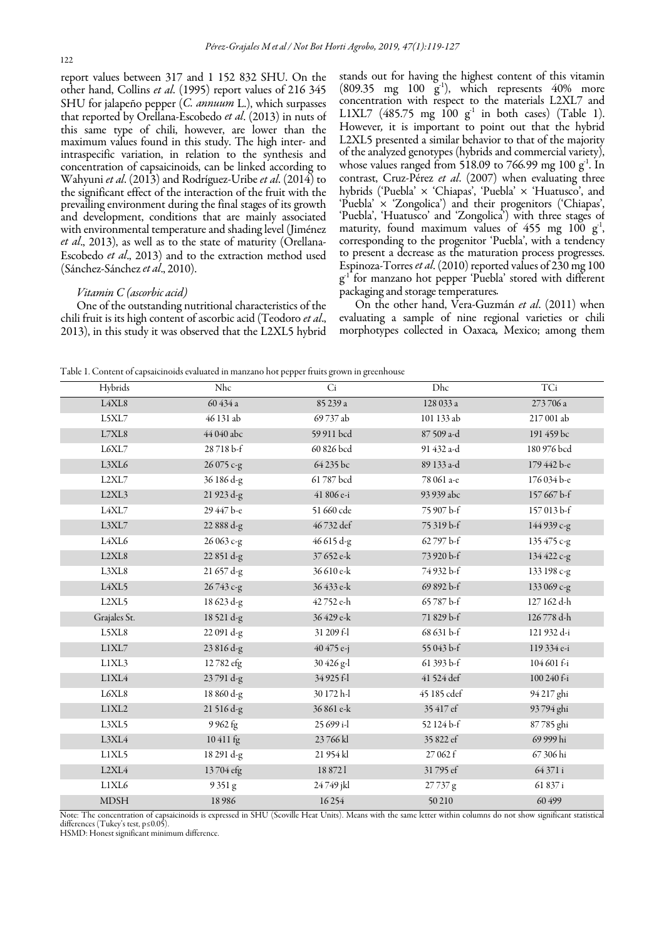report values between 317 and 1 152 832 SHU. On the other hand, Collins et al. (1995) report values of 216 345 SHU for jalapeño pepper (C. annuum L.), which surpasses that reported by Orellana-Escobedo et al. (2013) in nuts of this same type of chili, however, are lower than the maximum values found in this study. The high inter- and intraspecific variation, in relation to the synthesis and concentration of capsaicinoids, can be linked according to Wahyuni et al. (2013) and Rodríguez-Uribe et al. (2014) to the significant effect of the interaction of the fruit with the prevailing environment during the final stages of its growth and development, conditions that are mainly associated with environmental temperature and shading level (Jiménez et al., 2013), as well as to the state of maturity (Orellana-Escobedo et al., 2013) and to the extraction method used (Sánchez-Sánchez et al., 2010).

## Vitamin C (ascorbic acid)

One of the outstanding nutritional characteristics of the chili fruit is its high content of ascorbic acid (Teodoro et al., 2013), in this study it was observed that the L2XL5 hybrid stands out for having the highest content of this vitamin (809.35 mg 100  $\tilde{g}$ <sup>1</sup>), which represents 40% more concentration with respect to the materials L2XL7 and L1XL7 (485.75 mg  $100 \text{ g}^{-1}$  in both cases) (Table 1). However, it is important to point out that the hybrid L2XL5 presented a similar behavior to that of the majority of the analyzed genotypes (hybrids and commercial variety), whose values ranged from 518.09 to 766.99 mg 100  $g<sup>1</sup>$ . In contrast, Cruz-Pérez et al. (2007) when evaluating three hybrids ('Puebla' × 'Chiapas', 'Puebla' × 'Huatusco', and 'Puebla' × 'Zongolica') and their progenitors ('Chiapas', 'Puebla', 'Huatusco' and 'Zongolica') with three stages of maturity, found maximum values of 455 mg 100  $g<sup>-1</sup>$ , corresponding to the progenitor 'Puebla', with a tendency to present a decrease as the maturation process progresses. Espinoza-Torres et al. (2010) reported values of 230 mg 100  $g<sup>1</sup>$  for manzano hot pepper 'Puebla' stored with different packaging and storage temperatures.

On the other hand, Vera-Guzmán et al. (2011) when evaluating a sample of nine regional varieties or chili morphotypes collected in Oaxaca, Mexico; among them

Table 1. Content of capsaicinoids evaluated in manzano hot pepper fruits grown in greenhouse

| Hybrids        | Nhc        | $\overline{Ci}$ | Dhc         | TCi         |
|----------------|------------|-----------------|-------------|-------------|
| L4XL8          | 60 434 a   | 85 239 a        | 128 033 a   | 273706 a    |
| L5XL7          | 46 131 ab  | 69 737 ab       | 101 133 ab  | 217 001 ab  |
| $\rm L7XL8$    | 44 040 abc | 59 911 bcd      | 87 509 a-d  | 191 459 bc  |
| L6XL7          | 28718b-f   | 60 826 bcd      | 91 432 a-d  | 180 976 bcd |
| L3XL6          | 26 075 c-g | 64 235 bc       | 89 133 a-d  | 179 442 b-e |
| L2XL7          | 36 186 d-g | 61 787 bcd      | 78 061 a-e  | 176 034 b-e |
| L2XL3          | 21 923 d-g | 41 806 e-i      | 93 939 abc  | 157 667 b-f |
| L4XL7          | 29 447 b-e | 51 660 cde      | 75 907 b-f  | 157013b-f   |
| L3XL7          | 22 888 d-g | 46732 def       | 75 319 b-f  | 144 939 c-g |
| L4XL6          | 26 063 c-g | 46 615 d-g      | 62797 b-f   | 135 475 c-g |
| L2XL8          | 22 851 d-g | 37 652 e-k      | 73 920 b-f  | 134 422 c-g |
| L3XL8          | 21 657 d-g | 36 610 e-k      | 74 932 b-f  | 133 198 c-g |
| L4XL5          | 26743 c-g  | 36 433 e-k      | 69 892 b-f  | 133 069 c-g |
| L2XL5          | 18 623 d-g | 42 752 e-h      | 65787b-f    | 127 162 d-h |
| Grajales St.   | 18521 d-g  | 36 429 e-k      | 71 829 b-f  | 126778 d-h  |
| L5XL8          | 22 091 d-g | 31 209 f-l      | 68 631 b-f  | 121 932 d-i |
| L1XL7          | 23 816 d-g | 40 475 e-j      | 55 043 b-f  | 119 334 e-i |
| L1XL3          | 12782 efg  | 30 426 g-l      | 61 393 b-f  | 104 601 f-i |
| $_{\rm LIXL4}$ | 23791 d-g  | 34 925 f-l      | 41 524 def  | 100 240 f-i |
| L6XL8          | 18 860 d-g | 30 172 h-l      | 45 185 cdef | 94 217 ghi  |
| LIXL2          | 21 516 d-g | 36 861 e-k      | 35 417 ef   | 93 794 ghi  |
| L3XL5          | 9 962 fg   | 25 699 i-l      | 52 124 b-f  | 87 785 ghi  |
| L3XL4          | 10411 fg   | 23766kl         | 35 822 ef   | 69 999 hi   |
| L1XL5          | 18 291 d-g | 21 954 kl       | 27 062 f    | 67 306 hi   |
| L2XL4          | 13704 efg  | 18 872 1        | 31795 ef    | 64 371 i    |
| L1XL6          | 9351g      | 24749 jkl       | 27737g      | 61 837 i    |
| <b>MDSH</b>    | 18986      | 16254           | 50210       | 60 499      |

Note: The concentration of capsaicinoids is expressed in SHU (Scoville Heat Units). Means with the same letter within columns do not show significant statistical differences (Tukey's test, p≤0.05).

HSMD: Honest significant minimum difference.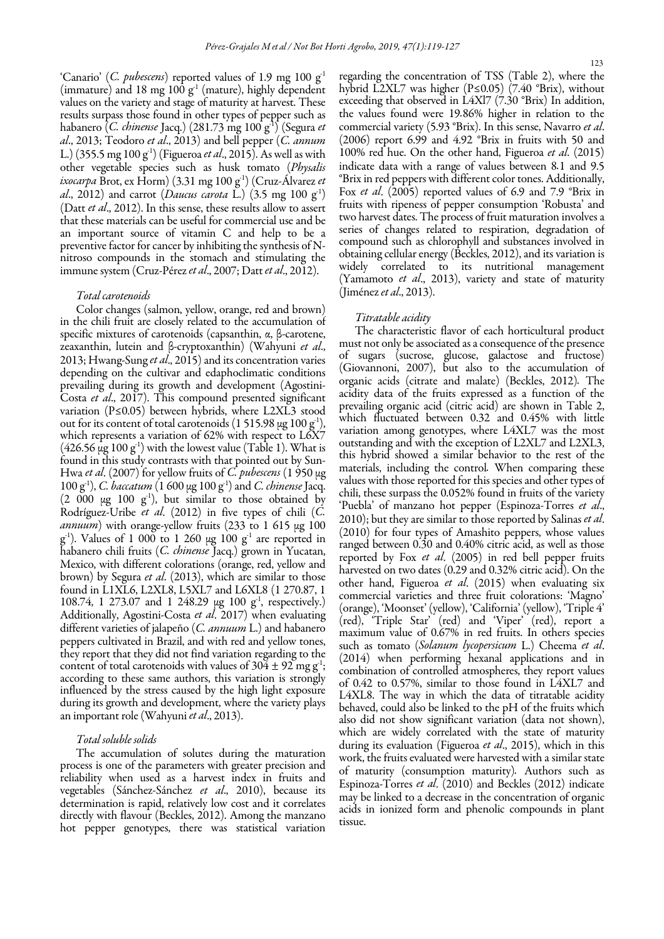'Canario' (C. pubescens) reported values of 1.9 mg 100  $g<sup>-1</sup>$ (immature) and 18 mg 100  $g<sup>-1</sup>$  (mature), highly dependent values on the variety and stage of maturity at harvest. These results surpass those found in other types of pepper such as habanero (C. chinense Jacq.) (281.73 mg 100 g<sup>-1</sup>) (Segura et al., 2013; Teodoro et al., 2013) and bell pepper (C. annum L.) (355.5 mg 100 g<sup>-1</sup>) (Figueroa *et al.*, 2015). As well as with other vegetable species such as husk tomato (Physalis ixocarpa Brot, ex Horm) (3.31 mg 100 g<sup>1</sup>) (Cruz-Álvarez et al., 2012) and carrot (Daucus carota L.) (3.5 mg 100  $g<sup>-1</sup>$ ) (Datt et al., 2012). In this sense, these results allow to assert that these materials can be useful for commercial use and be an important source of vitamin C and help to be a preventive factor for cancer by inhibiting the synthesis of Nnitroso compounds in the stomach and stimulating the immune system (Cruz-Pérez et al., 2007; Datt et al., 2012).

# Total carotenoids

 Mexico, with different colorations (orange, red, yellow and Color changes (salmon, yellow, orange, red and brown) in the chili fruit are closely related to the accumulation of specific mixtures of carotenoids (capsanthin, α, β-carotene, zeaxanthin, lutein and β-cryptoxanthin) (Wahyuni et al., 2013; Hwang-Sung et al., 2015) and its concentration varies depending on the cultivar and edaphoclimatic conditions prevailing during its growth and development (Agostini-Costa et al., 2017). This compound presented significant variation (P≤0.05) between hybrids, where L2XL3 stood out for its content of total carotenoids (1 515.98 μg 100 g<sup>-1</sup>), which represents a variation of 62% with respect to L6X7  $(426.56 \,\mu g 100 \, g<sup>-1</sup>)$  with the lowest value (Table 1). What is found in this study contrasts with that pointed out by Sun-Hwa et al. (2007) for yellow fruits of  $\overrightarrow{C}$  pubescens (1950 µg  $100$  g<sup>-1</sup>), *C. baccatum* (1 600 μg  $100$  g<sup>-1</sup>) and *C. chinense* Jacq.  $(2\ 000 \text{ µg } 100 \text{ g}^1)$ , but similar to those obtained by Rodríguez-Uribe et al. (2012) in five types of chili (C. annuum) with orange-yellow fruits (233 to 1 615 μg 100  $g<sup>-1</sup>$ ). Values of 1 000 to 1 260 µg 100  $g<sup>-1</sup>$  are reported in habanero chili fruits (C. chinense Jacq.) grown in Yucatan, brown) by Segura *et al.* (2013), which are similar to those found in L1XL6, L2XL8, L5XL7 and L6XL8 (1 270.87, 1 108.74, 1 273.07 and 1 248.29  $\mu$ g 100 g<sup>-1</sup>, respectively.) Additionally, Agostini-Costa et al. 2017) when evaluating different varieties of jalapeño (C. annuum L.) and habanero peppers cultivated in Brazil, and with red and yellow tones, they report that they did not find variation regarding to the content of total carotenoids with values of  $304 \pm 92$  mg g<sup>-1</sup>; according to these same authors, this variation is strongly influenced by the stress caused by the high light exposure during its growth and development, where the variety plays an important role (Wahyuni et al., 2013).

## Total soluble solids

The accumulation of solutes during the maturation process is one of the parameters with greater precision and reliability when used as a harvest index in fruits and vegetables (Sánchez-Sánchez et al., 2010), because its determination is rapid, relatively low cost and it correlates directly with flavour (Beckles, 2012). Among the manzano hot pepper genotypes, there was statistical variation

regarding the concentration of TSS (Table 2), where the hybrid L2XL7 was higher (P≤0.05) (7.40 °Brix), without exceeding that observed in L4Xl7 (7.30 °Brix) In addition, the values found were 19.86% higher in relation to the commercial variety (5.93 °Brix). In this sense, Navarro et al. (2006) report 6.99 and 4.92 °Brix in fruits with 50 and 100% red hue. On the other hand, Figueroa et al. (2015) indicate data with a range of values between 8.1 and 9.5 °Brix in red peppers with different color tones. Additionally, Fox et al. (2005) reported values of 6.9 and 7.9 °Brix in fruits with ripeness of pepper consumption 'Robusta' and two harvest dates. The process of fruit maturation involves a series of changes related to respiration, degradation of compound such as chlorophyll and substances involved in obtaining cellular energy (Beckles, 2012), and its variation is widely correlated to its nutritional management (Yamamoto et al., 2013), variety and state of maturity (Jiménez et al., 2013).

# Titratable acidity

The characteristic flavor of each horticultural product must not only be associated as a consequence of the presence of sugars (sucrose, glucose, galactose and fructose) (Giovannoni, 2007), but also to the accumulation of organic acids (citrate and malate) (Beckles, 2012). The acidity data of the fruits expressed as a function of the prevailing organic acid (citric acid) are shown in Table 2, which fluctuated between 0.32 and 0.45% with little variation among genotypes, where L4XL7 was the most outstanding and with the exception of L2XL7 and L2XL3, this hybrid showed a similar behavior to the rest of the materials, including the control. When comparing these values with those reported for this species and other types of chili, these surpass the 0.052% found in fruits of the variety 'Puebla' of manzano hot pepper (Espinoza-Torres et al., 2010); but they are similar to those reported by Salinas et al. (2010) for four types of Amashito peppers, whose values ranged between 0.30 and 0.40% citric acid, as well as those reported by Fox et al. (2005) in red bell pepper fruits harvested on two dates (0.29 and 0.32% citric acid). On the other hand, Figueroa et al. (2015) when evaluating six commercial varieties and three fruit colorations: 'Magno' (orange), 'Moonset' (yellow), 'California' (yellow), 'Triple 4' (red), 'Triple Star' (red) and 'Viper' (red), report a maximum value of 0.67% in red fruits. In others species such as tomato (Solanum lycopersicum L.) Cheema et al. (2014) when performing hexanal applications and in combination of controlled atmospheres, they report values of 0.42 to 0.57%, similar to those found in L4XL7 and L4XL8. The way in which the data of titratable acidity behaved, could also be linked to the pH of the fruits which also did not show significant variation (data not shown), which are widely correlated with the state of maturity during its evaluation (Figueroa et al., 2015), which in this work, the fruits evaluated were harvested with a similar state of maturity (consumption maturity). Authors such as Espinoza-Torres et al. (2010) and Beckles (2012) indicate may be linked to a decrease in the concentration of organic acids in ionized form and phenolic compounds in plant tissue.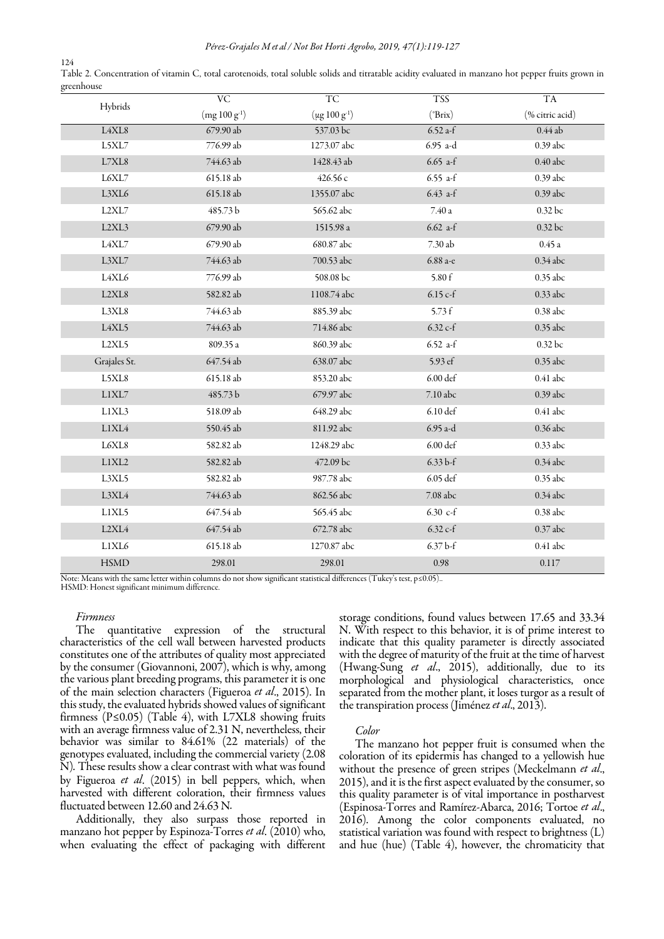| 124                                                                                                                                                 |  |
|-----------------------------------------------------------------------------------------------------------------------------------------------------|--|
| Table 2. Concentration of vitamin C, total carotenoids, total soluble solids and titratable acidity evaluated in manzano hot pepper fruits grown in |  |
| greenhouse                                                                                                                                          |  |

| Hybrids        | <b>VC</b>         | <b>TC</b>            | <b>TSS</b>         | <b>TA</b>       |
|----------------|-------------------|----------------------|--------------------|-----------------|
|                | $(mg 100 g^{-1})$ | $(\mu g 100 g^{-1})$ | $(^{\circ}Brix)$   | (% citric acid) |
| L4XL8          | 679.90 ab         | 537.03 bc            | $6.52$ a-f         | $0.44$ ab       |
| L5XL7          | 776.99 ab         | 1273.07 abc          | 6.95 a-d           | 0.39 abc        |
| $\rm L7XL8$    | 744.63 ab         | 1428.43 ab           | $6.65$ a-f         | 0.40 abc        |
| L6XL7          | 615.18 ab         | 426.56 с             | 6.55 a-f           | 0.39 abc        |
| L3XL6          | 615.18 ab         | 1355.07 abc          | $6.43$ a-f         | 0.39 abc        |
| L2XL7          | 485.73 b          | 565.62 abc           | $7.40\,\mathrm{a}$ | 0.32 bc         |
| L2XL3          | 679.90 ab         | 1515.98 a            | $6.62$ a-f         | 0.32 bc         |
| $\text{L4XL}7$ | 679.90 ab         | 680.87 abc           | 7.30ab             | 0.45a           |
| L3XL7          | 744.63 ab         | 700.53 abc           | 6.88 а-е           | $0.34$ abc      |
| L4XL6          | 776.99 ab         | 508.08 bc            | 5.80 f             | $0.35$ abc      |
| L2XL8          | 582.82 ab         | 1108.74 abc          | $6.15 c-f$         | $0.33$ abc      |
| L3XL8          | 744.63 ab         | 885.39 abc           | 5.73f              | 0.38 abc        |
| L4XL5          | 744.63 ab         | 714.86 abc           | $6.32 c-f$         | 0.35 abc        |
| L2XL5          | 809.35 a          | 860.39 abc           | $6.52$ a-f         | 0.32 bc         |
| Grajales St.   | 647.54 ab         | 638.07 abc           | 5.93 ef            | 0.35 abc        |
| L5XL8          | 615.18 ab         | 853.20 abc           | $6.00$ def         | $0.41$ abc      |
| LIXL7          | 485.73 b          | 679.97 abc           | 7.10 abc           | $0.39$ abc      |
| L1XL3          | 518.09 ab         | 648.29 abc           | 6.10 def           | $0.41$ abc      |
| $_{\rm LIXL4}$ | 550.45 ab         | 811.92 abc           | 6.95 a-d           | 0.36 abc        |
| ${\rm L6XL8}$  | 582.82 ab         | 1248.29 abc          | 6.00 def           | $0.33$ abc      |
| L1XL2          | 582.82 ab         | 472.09 bc            | $6.33 b-f$         | 0.34 abc        |
| L3XL5          | 582.82 ab         | 987.78 abc           | 6.05 def           | 0.35 abc        |
| L3XL4          | 744.63 ab         | 862.56 abc           | 7.08 abc           | $0.34$ abc      |
| L1XL5          | 647.54 ab         | 565.45 abc           | 6.30 $c-f$         | 0.38 abc        |
| $\rm L2XL4$    | 647.54 ab         | 672.78 abc           | $6.32 c-f$         | $0.37$ abc      |
| L1XL6          | 615.18 ab         | 1270.87 abc          | $6.37b-f$          | $0.41$ abc      |
| <b>HSMD</b>    | 298.01            | 298.01               | 0.98               | 0.117           |

Note: Means with the same letter within columns do not show significant statistical differences (Tukey's test, p≤0.05).. HSMD: Honest significant minimum difference.

#### Firmness

The quantitative expression of the structural characteristics of the cell wall between harvested products constitutes one of the attributes of quality most appreciated by the consumer (Giovannoni, 2007), which is why, among the various plant breeding programs, this parameter it is one of the main selection characters (Figueroa et al., 2015). In this study, the evaluated hybrids showed values of significant firmness ( $P \le 0.05$ ) (Table 4), with L7XL8 showing fruits with an average firmness value of 2.31 N, nevertheless, their behavior was similar to 84.61% (22 materials) of the genotypes evaluated, including the commercial variety (2.08 N). These results show a clear contrast with what was found by Figueroa et al. (2015) in bell peppers, which, when harvested with different coloration, their firmness values fluctuated between 12.60 and 24.63 N.

Additionally, they also surpass those reported in manzano hot pepper by Espinoza-Torres et al. (2010) who, when evaluating the effect of packaging with different storage conditions, found values between 17.65 and 33.34 N. With respect to this behavior, it is of prime interest to indicate that this quality parameter is directly associated with the degree of maturity of the fruit at the time of harvest (Hwang-Sung et al., 2015), additionally, due to its morphological and physiological characteristics, once separated from the mother plant, it loses turgor as a result of the transpiration process (Jiménez et al., 2013).

# Color

The manzano hot pepper fruit is consumed when the coloration of its epidermis has changed to a yellowish hue without the presence of green stripes (Meckelmann et al., 2015), and it is the first aspect evaluated by the consumer, so this quality parameter is of vital importance in postharvest (Espinosa-Torres and Ramírez-Abarca, 2016; Tortoe et al., 2016). Among the color components evaluated, no statistical variation was found with respect to brightness (L) and hue (hue) (Table 4), however, the chromaticity that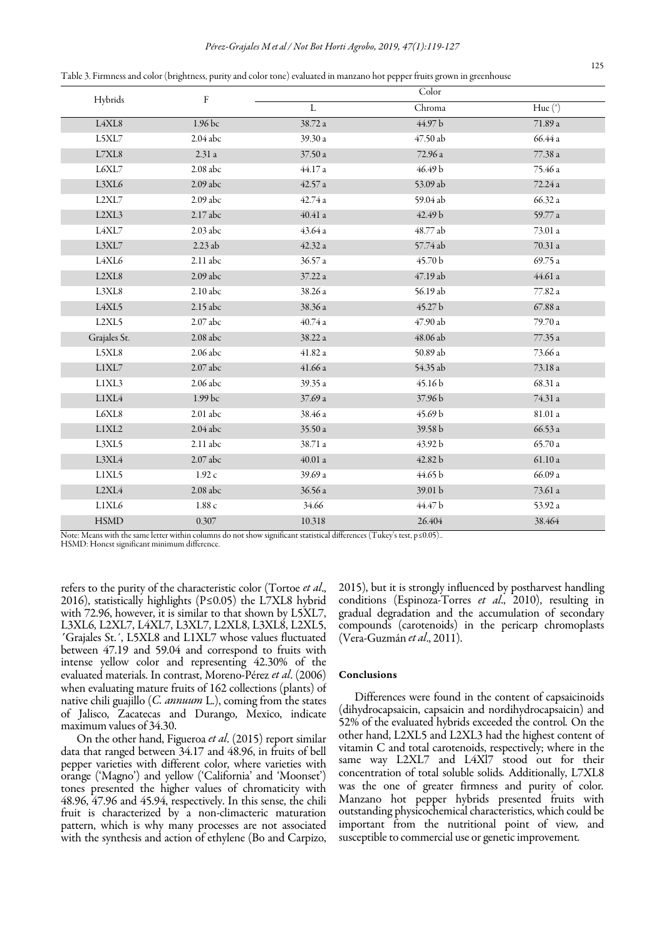| Hybrids      | F          | Color               |          |                     |
|--------------|------------|---------------------|----------|---------------------|
|              |            | $\mathbf{L}$        | Chroma   | Hue $(°)$           |
| L4XL8        | 1.96 bc    | 38.72 a             | 44.97 b  | 71.89a              |
| L5XL7        | 2.04 abc   | 39.30 a             | 47.50 ab | 66.44 a             |
| $\rm L7XL8$  | 2.31a      | 37.50 a             | 72.96 a  | $77.38\,\mathrm{a}$ |
| L6XL7        | $2.08$ abc | 44.17 a             | 46.49 b  | 75.46 a             |
| L3XL6        | 2.09 abc   | 42.57 a             | 53.09 ab | 72.24 a             |
| L2XL7        | $2.09$ abc | 42.74 a             | 59.04 ab | 66.32 a             |
| L2XL3        | $2.17$ abc | $40.41\ \mathrm{a}$ | 42.49 b  | 59.77 a             |
| L4XL7        | $2.03$ abc | 43.64 a             | 48.77 ab | 73.01 a             |
| L3XL7        | 2.23 ab    | 42.32 a             | 57.74 ab | 70.31a              |
| L4XL6        | 2.11 abc   | 36.57 a             | 45.70 b  | 69.75 a             |
| L2XL8        | 2.09 abc   | 37.22 a             | 47.19 ab | 44.61a              |
| L3XL8        | 2.10 abc   | 38.26 a             | 56.19 ab | 77.82a              |
| L4XL5        | 2.15 abc   | 38.36 a             | 45.27 b  | 67.88 a             |
| L2XL5        | 2.07 abc   | 40.74a              | 47.90 ab | 79.70 a             |
| Grajales St. | $2.08$ abc | 38.22 a             | 48.06 ab | 77.35a              |
| L5XL8        | 2.06 abc   | 41.82 a             | 50.89 ab | 73.66 a             |
| L1XL7        | 2.07 abc   | 41.66 a             | 54.35 ab | 73.18 a             |
| L1XL3        | 2.06 abc   | 39.35 a             | 45.16b   | 68.31 a             |
| L1XL4        | 1.99 bc    | 37.69 a             | 37.96 b  | 74.31 a             |
| L6XL8        | $2.01$ abc | 38.46 a             | 45.69 b  | $81.01\ a$          |
| L1XL2        | $2.04$ abc | 35.50 a             | 39.58 b  | 66.53 a             |
| L3XL5        | 2.11 abc   | 38.71 a             | 43.92 b  | 65.70 a             |
| L3XL4        | $2.07$ abc | $40.01\ \text{a}$   | 42.82 b  | $61.10\,\mathrm{a}$ |
| L1XL5        | 1.92c      | 39.69 a             | 44.65 b  | 66.09 a             |
| L2XL4        | $2.08$ abc | 36.56 a             | 39.01 b  | 73.61 a             |
| L1XL6        | $1.88c$    | 34.66               | 44.47 b  | 53.92 a             |
| <b>HSMD</b>  | 0.307      | 10.318              | 26.404   | 38.464              |

Table 3. Firmness and color (brightness, purity and color tone) evaluated in manzano hot pepper fruits grown in greenhouse

Note: Means with the same letter within columns do not show significant statistical differences (Tukey's test, p≤0.05)..

HSMD: Honest significant minimum difference.

refers to the purity of the characteristic color (Tortoe et al., 2016), statistically highlights (P≤0.05) the L7XL8 hybrid with 72.96, however, it is similar to that shown by L5XL7, L3XL6, L2XL7, L4XL7, L3XL7, L2XL8, L3XL8, L2XL5, ´Grajales St.´, L5XL8 and L1XL7 whose values fluctuated between 47.19 and 59.04 and correspond to fruits with intense yellow color and representing 42.30% of the evaluated materials. In contrast, Moreno-Pérez et al. (2006) when evaluating mature fruits of 162 collections (plants) of native chili guajillo  $(C.$  annuum L.), coming from the states of Jalisco, Zacatecas and Durango, Mexico, indicate maximum values of 34.30.

On the other hand, Figueroa et al. (2015) report similar data that ranged between 34.17 and 48.96, in fruits of bell pepper varieties with different color, where varieties with orange ('Magno') and yellow ('California' and 'Moonset') tones presented the higher values of chromaticity with 48.96, 47.96 and 45.94, respectively. In this sense, the chili fruit is characterized by a non-climacteric maturation pattern, which is why many processes are not associated with the synthesis and action of ethylene (Bo and Carpizo, 2015), but it is strongly influenced by postharvest handling conditions (Espinoza-Torres et al., 2010), resulting in gradual degradation and the accumulation of secondary compounds (carotenoids) in the pericarp chromoplasts (Vera-Guzmán et al., 2011).

#### Conclusions

Differences were found in the content of capsaicinoids (dihydrocapsaicin, capsaicin and nordihydrocapsaicin) and 52% of the evaluated hybrids exceeded the control. On the other hand, L2XL5 and L2XL3 had the highest content of vitamin C and total carotenoids, respectively; where in the same way L2XL7 and L4Xl7 stood out for their concentration of total soluble solids. Additionally, L7XL8 was the one of greater firmness and purity of color. Manzano hot pepper hybrids presented fruits with outstanding physicochemical characteristics, which could be important from the nutritional point of view, and susceptible to commercial use or genetic improvement.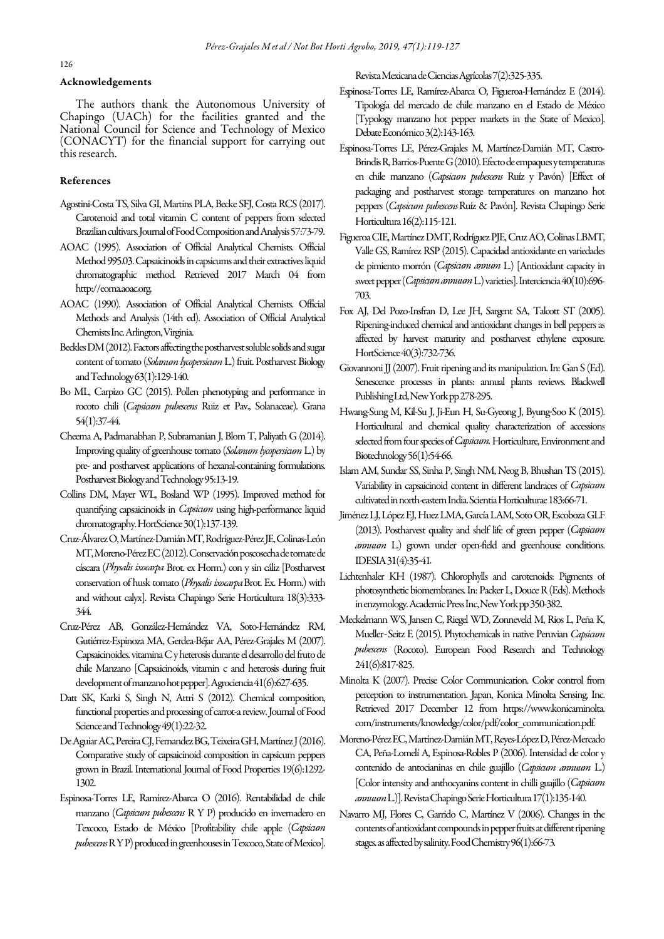# Acknowledgements

The authors thank the Autonomous University of Chapingo (UACh) for the facilities granted and the National Council for Science and Technology of Mexico (CONACYT) for the financial support for carrying out this research.

# References

- Agostini-Costa TS, Silva GI, Martins PLA, Becke SFJ, Costa RCS (2017). Carotenoid and total vitamin C content of peppers from selected Brazilian cultivars. Journal of Food Composition and Analysis 57:73-79.
- AOAC (1995). Association of Official Analytical Chemists. Official Method 995.03. Capsaicinoids in capsicums and their extractives liquid chromatographic method. Retrieved 2017 March 04 from http://eoma.aoac.org.
- AOAC (1990). Association of Official Analytical Chemists. Official Methods and Analysis (14th ed). Association of Official Analytical Chemists Inc. Arlington, Virginia.
- Beckles DM (2012). Factors affecting the postharvest soluble solids and sugar content of tomato (Solanum lycopersicum L.) fruit. Postharvest Biology and Technology 63(1):129-140.
- Bo ML, Carpizo GC (2015). Pollen phenotyping and performance in rocoto chili (Capsicum pubescens Ruiz et Pav., Solanaceae). Grana 54(1):37-44.
- Cheema A, Padmanabhan P, Subramanian J, Blom T, Paliyath G (2014). Improving quality of greenhouse tomato (Solanum lycopersicum L.) by pre- and postharvest applications of hexanal-containing formulations. Postharvest Biology and Technology 95:13-19.
- Collins DM, Mayer WL, Bosland WP (1995). Improved method for quantifying capsaicinoids in *Capsicum* using high-performance liquid chromatography. HortScience 30(1):137-139.
- Cruz-Álvarez O, Martínez-Damián MT, Rodríguez-Pérez JE, Colinas-León MT, Moreno-Pérez EC (2012). Conservación poscosecha de tomate de cáscara (Physalis ixocarpa Brot. ex Horm.) con y sin cáliz [Postharvest conservation of husk tomato (Physalis ixocarpa Brot. Ex. Horm.) with and without calyx]. Revista Chapingo Serie Horticultura 18(3):333- 344.
- Cruz-Pérez AB, González-Hernández VA, Soto-Hernández RM, Gutiérrez-Espinoza MA, Gerdea-Béjar AA, Pérez-Grajales M (2007). Capsaicinoides. vitamina C y heterosis durante el desarrollo del fruto de chile Manzano [Capsaicinoids, vitamin c and heterosis during fruit development of manzano hot pepper]. Agrociencia 41(6):627-635.
- Datt SK, Karki S, Singh N, Attri S (2012). Chemical composition, functional properties and processing of carrot-a review. Journal of Food Science and Technology 49(1):22-32.
- De Aguiar AC, Pereira CJ, Fernandez BG, Teixeira GH, Martínez J (2016). Comparative study of capsaicinoid composition in capsicum peppers grown in Brazil. International Journal of Food Properties 19(6):1292- 1302.
- Espinosa-Torres LE, Ramírez-Abarca O (2016). Rentabilidad de chile manzano (Capsicum pubescens R Y P) producido en invernadero en Texcoco, Estado de México [Profitability chile apple (Capsicum pubescens R Y P) produced in greenhouses in Texcoco, State of Mexico].

Revista Mexicana de Ciencias Agrícolas 7(2):325-335.

- Espinosa-Torres LE, Ramírez-Abarca O, Figueroa-Hernández E (2014). Tipología del mercado de chile manzano en el Estado de México [Typology manzano hot pepper markets in the State of Mexico]. Debate Económico 3(2):143-163.
- Espinosa-Torres LE, Pérez-Grajales M, Martínez-Damián MT, Castro-Brindis R, Barrios-Puente G (2010). Efecto de empaques y temperaturas en chile manzano (Capsicum pubescens Ruíz y Pavón) [Effect of packaging and postharvest storage temperatures on manzano hot peppers (Capsicum pubescens Ruíz & Pavón]. Revista Chapingo Serie Horticultura 16(2):115-121.
- Figueroa CIE, Martínez DMT, Rodríguez PJE, Cruz AO, Colinas LBMT, Valle GS, Ramírez RSP (2015). Capacidad antioxidante en variedades de pimiento morrón (Capsicum annum L.) [Antioxidant capacity in sweet pepper (Capsicum annuum L.) varieties]. Interciencia 40(10):696-703.
- Fox AJ, Del Pozo-Insfran D, Lee JH, Sargent SA, Talcott ST (2005). Ripening-induced chemical and antioxidant changes in bell peppers as affected by harvest maturity and postharvest ethylene exposure. HortScience 40(3):732-736.
- Giovannoni JJ (2007). Fruit ripening and its manipulation. In: Gan S (Ed). Senescence processes in plants: annual plants reviews. Blackwell Publishing Ltd, New York pp 278-295.
- Hwang-Sung M, Kil-Su J, Ji-Eun H, Su-Gyeong J, Byung-Soo K (2015). Horticultural and chemical quality characterization of accessions selected from four species of Capsicum. Horticulture, Environment and Biotechnology 56(1):54-66.
- Islam AM, Sundar SS, Sinha P, Singh NM, Neog B, Bhushan TS (2015). Variability in capsaicinoid content in different landraces of Capsicum cultivated in north-eastern India. Scientia Horticulturae 183:66-71.
- Jiménez LJ, López EJ, Huez LMA, García LAM, Soto OR, Escoboza GLF (2013). Postharvest quality and shelf life of green pepper (Capsicum annuum L.) grown under open-field and greenhouse conditions. IDESIA 31(4):35-41.
- Lichtenhaler KH (1987). Chlorophylls and carotenoids: Pigments of photosynthetic biomembranes. In: Packer L, Douce R (Eds). Methods in enzymology. Academic Press Inc, New York pp 350-382.
- Meckelmann WS, Jansen C, Riegel WD, Zonneveld M, Rios L, Peña K, Mueller-Seitz E (2015). Phytochemicals in native Peruvian Capsicum pubescens (Rocoto). European Food Research and Technology 241(6):817-825.
- Minolta K (2007). Precise Color Communication. Color control from perception to instrumentation. Japan, Konica Minolta Sensing, Inc. Retrieved 2017 December 12 from https://www.konicaminolta. com/instruments/knowledge/color/pdf/color\_communication.pdf.
- Moreno-Pérez EC, Martínez-Damián MT, Reyes-López D, Pérez-Mercado CA, Peña-Lomelí A, Espinosa-Robles P (2006). Intensidad de color y contenido de antocianinas en chile guajillo (Capsicum annuum L.) [Color intensity and anthocyanins content in chilli guajillo (Capsicum annuum L.)]. Revista Chapingo Serie Horticultura 17(1):135-140.
- Navarro MJ, Flores C, Garrido C, Martínez V (2006). Changes in the contents of antioxidant compounds in pepper fruits at different ripening stages. as affected by salinity. Food Chemistry 96(1):66-73.